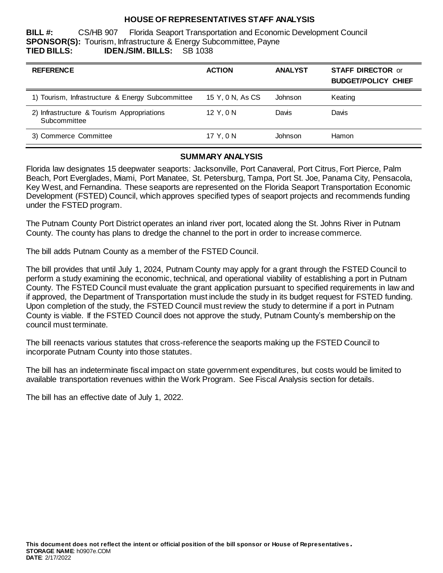## **HOUSE OF REPRESENTATIVES STAFF ANALYSIS**

**BILL #:** CS/HB 907 Florida Seaport Transportation and Economic Development Council **SPONSOR(S):** Tourism, Infrastructure & Energy Subcommittee, Payne **TIED BILLS: IDEN./SIM. BILLS:** SB 1038

| <b>REFERENCE</b>                                           | <b>ACTION</b>    | <b>ANALYST</b> | <b>STAFF DIRECTOR or</b><br><b>BUDGET/POLICY CHIEF</b> |
|------------------------------------------------------------|------------------|----------------|--------------------------------------------------------|
| 1) Tourism, Infrastructure & Energy Subcommittee           | 15 Y, 0 N, As CS | Johnson        | Keating                                                |
| 2) Infrastructure & Tourism Appropriations<br>Subcommittee | 12 Y.ON          | Davis          | Davis                                                  |
| 3) Commerce Committee                                      | 17 Y.ON          | Johnson        | Hamon                                                  |

#### **SUMMARY ANALYSIS**

Florida law designates 15 deepwater seaports: Jacksonville, Port Canaveral, Port Citrus, Fort Pierce, Palm Beach, Port Everglades, Miami, Port Manatee, St. Petersburg, Tampa, Port St. Joe, Panama City, Pensacola, Key West, and Fernandina. These seaports are represented on the Florida Seaport Transportation Economic Development (FSTED) Council, which approves specified types of seaport projects and recommends funding under the FSTED program.

The Putnam County Port District operates an inland river port, located along the St. Johns River in Putnam County. The county has plans to dredge the channel to the port in order to increase commerce.

The bill adds Putnam County as a member of the FSTED Council.

The bill provides that until July 1, 2024, Putnam County may apply for a grant through the FSTED Council to perform a study examining the economic, technical, and operational viability of establishing a port in Putnam County. The FSTED Council must evaluate the grant application pursuant to specified requirements in law and if approved, the Department of Transportation must include the study in its budget request for FSTED funding. Upon completion of the study, the FSTED Council must review the study to determine if a port in Putnam County is viable. If the FSTED Council does not approve the study, Putnam County's membership on the council must terminate.

The bill reenacts various statutes that cross-reference the seaports making up the FSTED Council to incorporate Putnam County into those statutes.

The bill has an indeterminate fiscal impact on state government expenditures, but costs would be limited to available transportation revenues within the Work Program. See Fiscal Analysis section for details.

The bill has an effective date of July 1, 2022.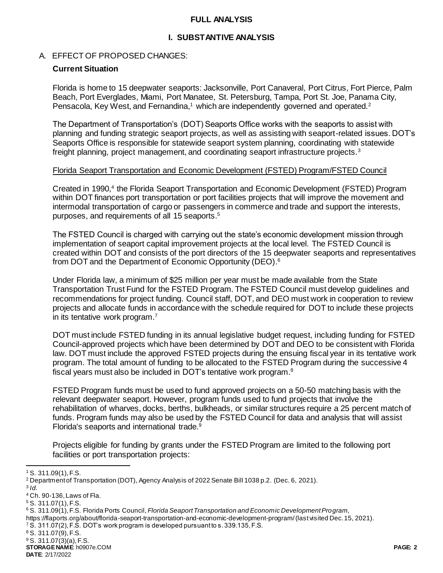#### **FULL ANALYSIS**

## **I. SUBSTANTIVE ANALYSIS**

### A. EFFECT OF PROPOSED CHANGES:

## **Current Situation**

Florida is home to 15 deepwater seaports: Jacksonville, Port Canaveral, Port Citrus, Fort Pierce, Palm Beach, Port Everglades, Miami, Port Manatee, St. Petersburg, Tampa, Port St. Joe, Panama City, Pensacola, Key West, and Fernandina,<sup>1</sup> which are independently governed and operated.<sup>2</sup>

The Department of Transportation's (DOT) Seaports Office works with the seaports to assist with planning and funding strategic seaport projects, as well as assisting with seaport-related issues. DOT's Seaports Office is responsible for statewide seaport system planning, coordinating with statewide freight planning, project management, and coordinating seaport infrastructure projects.<sup>3</sup>

#### Florida Seaport Transportation and Economic Development (FSTED) Program/FSTED Council

Created in 1990,<sup>4</sup> the Florida Seaport Transportation and Economic Development (FSTED) Program within DOT finances port transportation or port facilities projects that will improve the movement and intermodal transportation of cargo or passengers in commerce and trade and support the interests, purposes, and requirements of all 15 seaports. 5

The FSTED Council is charged with carrying out the state's economic development mission through implementation of seaport capital improvement projects at the local level. The FSTED Council is created within DOT and consists of the port directors of the 15 deepwater seaports and representatives from DOT and the Department of Economic Opportunity (DEO). 6

Under Florida law, a minimum of \$25 million per year must be made available from the State Transportation Trust Fund for the FSTED Program. The FSTED Council must develop guidelines and recommendations for project funding. Council staff, DOT, and DEO must work in cooperation to review projects and allocate funds in accordance with the schedule required for DOT to include these projects in its tentative work program.<sup>7</sup>

DOT must include FSTED funding in its annual legislative budget request, including funding for FSTED Council-approved projects which have been determined by DOT and DEO to be consistent with Florida law. DOT must include the approved FSTED projects during the ensuing fiscal year in its tentative work program. The total amount of funding to be allocated to the FSTED Program during the successive 4 fiscal years must also be included in DOT's tentative work program.<sup>8</sup>

FSTED Program funds must be used to fund approved projects on a 50-50 matching basis with the relevant deepwater seaport. However, program funds used to fund projects that involve the rehabilitation of wharves, docks, berths, bulkheads, or similar structures require a 25 percent match of funds. Program funds may also be used by the FSTED Council for data and analysis that will assist Florida's seaports and international trade.<sup>9</sup>

Projects eligible for funding by grants under the FSTED Program are limited to the following port facilities or port transportation projects:

l

**STORAGE NAME**: h0907e.COM **PAGE: 2**

<sup>1</sup> S. 311.09(1), F.S.

<sup>2</sup> Department of Transportation (DOT), Agency Analysis of 2022 Senate Bill 1038 p.2. (Dec. 6, 2021).

<sup>3</sup> *Id.*

<sup>4</sup> Ch. 90-136, Laws of Fla.

<sup>5</sup> S. 311.07(1), F.S.

<sup>6</sup> S. 311.09(1), F.S. Florida Ports Council, *Florida Seaport Transportation and Economic Development Program*,

https://flaports.org/about/florida-seaport-transportation-and-economic-development-program/ (last visited Dec. 15, 2021).

<sup>7</sup> S. 311.07(2), F.S. DOT's work program is developed pursuant to s. 339.135, F.S.

<sup>8</sup> S. 311.07(9), F.S.

<sup>9</sup> S. 311.07(3)(a), F.S.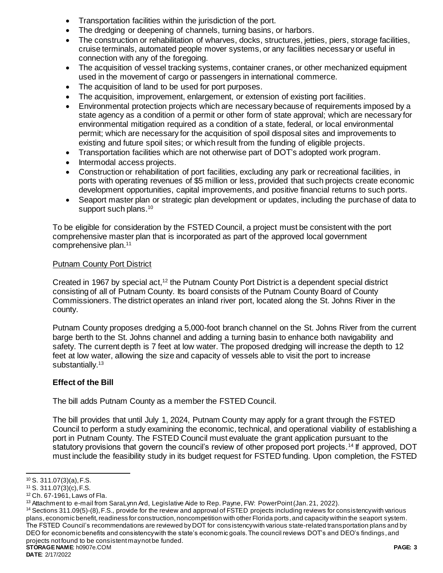- Transportation facilities within the jurisdiction of the port.
- The dredging or deepening of channels, turning basins, or harbors.
- The construction or rehabilitation of wharves, docks, structures, jetties, piers, storage facilities, cruise terminals, automated people mover systems, or any facilities necessary or useful in connection with any of the foregoing.
- The acquisition of vessel tracking systems, container cranes, or other mechanized equipment used in the movement of cargo or passengers in international commerce.
- The acquisition of land to be used for port purposes.
- The acquisition, improvement, enlargement, or extension of existing port facilities.
- Environmental protection projects which are necessary because of requirements imposed by a state agency as a condition of a permit or other form of state approval; which are necessary for environmental mitigation required as a condition of a state, federal, or local environmental permit; which are necessary for the acquisition of spoil disposal sites and improvements to existing and future spoil sites; or which result from the funding of eligible projects.
- Transportation facilities which are not otherwise part of DOT's adopted work program.
- Intermodal access projects.
- Construction or rehabilitation of port facilities, excluding any park or recreational facilities, in ports with operating revenues of \$5 million or less, provided that such projects create economic development opportunities, capital improvements, and positive financial returns to such ports.
- Seaport master plan or strategic plan development or updates, including the purchase of data to support such plans.<sup>10</sup>

To be eligible for consideration by the FSTED Council, a project must be consistent with the port comprehensive master plan that is incorporated as part of the approved local government comprehensive plan. 11

### Putnam County Port District

Created in 1967 by special act,<sup>12</sup> the Putnam County Port District is a dependent special district consisting of all of Putnam County. Its board consists of the Putnam County Board of County Commissioners. The district operates an inland river port, located along the St. Johns River in the county.

Putnam County proposes dredging a 5,000-foot branch channel on the St. Johns River from the current barge berth to the St. Johns channel and adding a turning basin to enhance both navigability and safety. The current depth is 7 feet at low water. The proposed dredging will increase the depth to 12 feet at low water, allowing the size and capacity of vessels able to visit the port to increase substantially.<sup>13</sup>

## **Effect of the Bill**

The bill adds Putnam County as a member the FSTED Council.

The bill provides that until July 1, 2024, Putnam County may apply for a grant through the FSTED Council to perform a study examining the economic, technical, and operational viability of establishing a port in Putnam County. The FSTED Council must evaluate the grant application pursuant to the statutory provisions that govern the council's review of other proposed port projects.<sup>14</sup> If approved, DOT must include the feasibility study in its budget request for FSTED funding. Upon completion, the FSTED

**STORAGE NAME**: h0907e.COM **PAGE: 3** <sup>14</sup> Sections 311.09(5)-(8), F.S., provide for the review and approval of FSTED projects including reviews for consistency with various plans, economic benefit, readiness for construction, noncompetition with other Florida ports, and capacity within the seaport system. The FSTED Council's recommendations are reviewed by DOT for consistency with various state-related transportation plans and by DEO for economic benefits and consistency with the state's economic goals. The council reviews DOT's and DEO's findings, and projects not found to be consistent may not be funded.

l  $10$  S. 311.07(3)(a), F.S.

 $11$  S. 311.07(3)(c), F.S.

<sup>12</sup> Ch. 67-1961, Laws of Fla.

<sup>&</sup>lt;sup>13</sup> Attachment to e-mail from SaraLynn Ard, Legislative Aide to Rep. Payne, FW: PowerPoint (Jan. 21, 2022).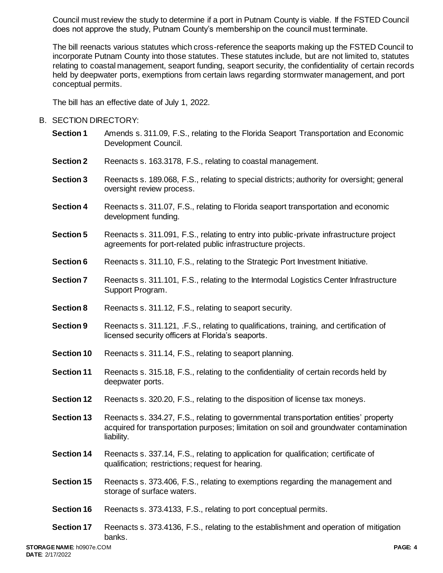Council must review the study to determine if a port in Putnam County is viable. If the FSTED Council does not approve the study, Putnam County's membership on the council must terminate.

The bill reenacts various statutes which cross-reference the seaports making up the FSTED Council to incorporate Putnam County into those statutes. These statutes include, but are not limited to, statutes relating to coastal management, seaport funding, seaport security, the confidentiality of certain records held by deepwater ports, exemptions from certain laws regarding stormwater management, and port conceptual permits.

The bill has an effective date of July 1, 2022.

## B. SECTION DIRECTORY:

- **Section 1** Amends s. 311.09, F.S., relating to the Florida Seaport Transportation and Economic Development Council.
- **Section 2** Reenacts s. 163.3178, F.S., relating to coastal management.
- **Section 3** Reenacts s. 189.068, F.S., relating to special districts; authority for oversight; general oversight review process.
- **Section 4** Reenacts s. 311.07, F.S., relating to Florida seaport transportation and economic development funding.
- **Section 5** Reenacts s. 311.091, F.S., relating to entry into public-private infrastructure project agreements for port-related public infrastructure projects.
- **Section 6** Reenacts s. 311.10, F.S., relating to the Strategic Port Investment Initiative.
- **Section 7** Reenacts s. 311.101, F.S., relating to the Intermodal Logistics Center Infrastructure Support Program.
- **Section 8** Reenacts s. 311.12, F.S., relating to seaport security.
- **Section 9** Reenacts s. 311.121, .F.S., relating to qualifications, training, and certification of licensed security officers at Florida's seaports.
- **Section 10** Reenacts s. 311.14, F.S., relating to seaport planning.
- **Section 11** Reenacts s. 315.18, F.S., relating to the confidentiality of certain records held by deepwater ports.
- **Section 12** Reenacts s. 320.20, F.S., relating to the disposition of license tax moneys.
- **Section 13** Reenacts s. 334.27, F.S., relating to governmental transportation entities' property acquired for transportation purposes; limitation on soil and groundwater contamination liability.
- **Section 14** Reenacts s. 337.14, F.S., relating to application for qualification; certificate of qualification; restrictions; request for hearing.
- **Section 15** Reenacts s. 373.406, F.S., relating to exemptions regarding the management and storage of surface waters.
- **Section 16** Reenacts s. 373.4133, F.S., relating to port conceptual permits.
- **Section 17** Reenacts s. 373.4136, F.S., relating to the establishment and operation of mitigation banks.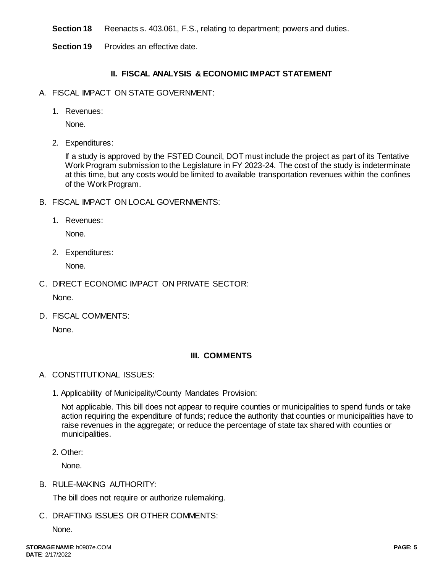**Section 18** Reenacts s. 403.061, F.S., relating to department; powers and duties.

**Section 19** Provides an effective date.

# **II. FISCAL ANALYSIS & ECONOMIC IMPACT STATEMENT**

- A. FISCAL IMPACT ON STATE GOVERNMENT:
	- 1. Revenues:

None.

2. Expenditures:

If a study is approved by the FSTED Council, DOT must include the project as part of its Tentative Work Program submission to the Legislature in FY 2023-24. The cost of the study is indeterminate at this time, but any costs would be limited to available transportation revenues within the confines of the Work Program.

- B. FISCAL IMPACT ON LOCAL GOVERNMENTS:
	- 1. Revenues:

None.

2. Expenditures:

None.

C. DIRECT ECONOMIC IMPACT ON PRIVATE SECTOR:

None.

D. FISCAL COMMENTS:

None.

# **III. COMMENTS**

- A. CONSTITUTIONAL ISSUES:
	- 1. Applicability of Municipality/County Mandates Provision:

Not applicable. This bill does not appear to require counties or municipalities to spend funds or take action requiring the expenditure of funds; reduce the authority that counties or municipalities have to raise revenues in the aggregate; or reduce the percentage of state tax shared with counties or municipalities.

2. Other:

None.

B. RULE-MAKING AUTHORITY:

The bill does not require or authorize rulemaking.

C. DRAFTING ISSUES OR OTHER COMMENTS:

None.